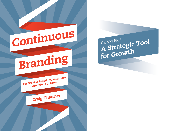

 $\mathsf{A}\ \mathsf{Strategic}\ \mathsf{Tool} \ \mathsf{A}\ \mathsf{strategic}\ \mathsf{Tool}$ for Growth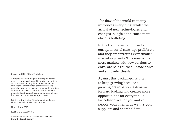Copyright © 2019 Craig Thatcher.

All rights reserved. No part of this publication may be reproduced, stored in a retrieval system, or transmitted, in any form or by any means without the prior written permission of the publisher, nor be otherwise circulated in any form of binding or cover other than that in which it is published and without a similar condition being imposed on the subsequent purchaser.

Printed in the United Kingdom and published simultaneously in electronic format.

First edition, 2015

ISBN: 978-0-9932168-1-7

A catalogue record for this book is available from the British Library.

The flow of the world economy influences everything, whilst the arrival of new technologies and changes in legislation cause more obvious buffeting.

In the UK, the self employed and entrepreneurial start-ups proliferate and they are targeting ever smaller market segments. This means that most markets with low barriers to entry are being turned upside down and shift relentlessly.

Against this backdrop, it's vital to keep growing because a growing organisation is dynamic, forward looking and creates more opportunities for everyone – a far better place for you and your people, your clients, as well as your suppliers and shareholders.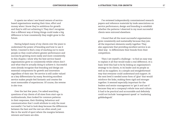It upsets me when I see brand owners of servicebased organisations wasting their time, effort and money when I know they're ambitious for growth and they're still not achieving it. They don't recognise that a different way of doing things could make a big difference to how consistently they might grow in the future.

Having helped many of my clients over the years to understand the power of branding and how to use it better, I wanted to find a way of reaching out to more people so they could achieve greater performance and success by growing more easily and more consistently. In this chapter, I show why the best service-based organisations grow so consistently whilst others don't and what they're actually doing to achieve it. Successful ones already recognise that branding and design are essential components for growth and innovation regardless of their size. Yet service is still under valued as a key differentiator by many. Receiving excellent service makes people feel fantastic and creates the most memorable of experiences. Of course, the reverse is also true.

Over the last few years, I've asked searching questions of my clients of all sizes from start-ups to multinationals, then looked for common patterns in their responses, their thinking, behaviour and communication that I could attribute to only the most successful. I've had to look deep because the differences between the best and the rest are often small, just like in the world of sport where the margins between winners and losers are slim.

I've reviewed independently commissioned research papers and reference materials by trade associations on service performance, design and branding to establish whether the patterns I observed in my most successful clients were mirrored elsewhere.

I found that all the most successful organisations grow consistently and sustainably because they join all the important elements neatly together. They also appreciate that providing excellent service is an ideal way to differentiate their brands from their competitors.

Then I set myself a challenge – to find an easy way to explain it all that would make a real difference. At a basic level this had to be by linking an organisation's strategy to its clients, to its leader and its people as well as its suppliers. In a simple and straightforward way that everyone could understand and support. At the next level it needed some form of 'glue' that would reinforce the links, making them rigid and stronger together. It seemed especially important for the leaders and senior management to 'get it and use it' because they set a company's whole tone and culture. It had to be practical and accountable and definitely could not include 'management speak' or 'marketing gobbledegook'.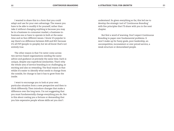I wanted to share this in a form that you could adapt and use for your own advantage. The reason you have to be able to modify it for yourself, rather than take it without changing anything is because you may be in a business-to-consumer market, a business-tobusiness one or have to operate in both at the same time and so face different issues. I know it's popular to say there's no difference between B2B and B2C because it's all P2P (people-to-people), but we all know that's not entirely true.

The other reason is that I've never come across two service-based organisations needing the same advice and guidance at precisely the same time. Each is unique, despite any superficial similarities. That's why the whole area of service branding is so challenging, so exciting and also so rewarding. The final reason is that whilst it's easier to identify what needs to change from the outside, for change to last it has to grow from the inside.

I want to encourage you to look at your own particular situation from a new perspective and then to think differently. Then introduce changes that make a difference over the long term. I'm not suggesting that you must fundamentally change everything you do. Nor is this about costing you a fortune or demanding that you hire expensive people whose skills set you don't

understand. So given everything so far, this led me to develop the strategic tool of 'Continuous Branding' with five principles that I'll share with you in the next chapter.

But first a word of warning. Don't expect Continuous Branding to paper over fundamental problems. It won't make up for fuzzy goals, poor leadership, an uncompetitive, inconsistent or over priced service, a weak structure or demoralised people.